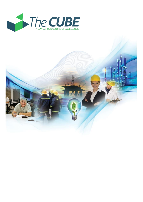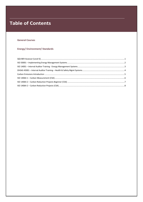# **Table of Contents**

# **General Courses**

# **Energy/Environment/Standards**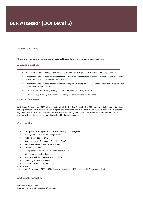# **BER Assessor (QQI Level 6)**

# **Who should attend?**

**This course is aimed at those involved in new dwellings and the sale or rent of existing dwellings**

## **Aims and objectives**

- Be familiar with the key objectives and background to the European Performance of Building Directive
- Demonstrate the ability to accurately collect BER data on dwellings from surveys, specifications and plans that affect energy and CO2 emissions performance.
- Demonstrate the ability to undertake limitation of primary energy and/or CO2 emission calculations as required by the Building Regulations
- Input data into the Dwelling Energy Assessment Procedure (DEAP) software
- Explain the significance, in BER terms, of varying the specifications for dwellings.

### **Expected Outcomes**

Sustainable Energy Ireland (SEI) is the regulatory body for Building Energy Rating (BER) Assessments in Ireland. Its sets out the requirements which all validated training courses must meet, and is the body which registers Assessors. To become a registered BER Assessor you must complete an SEI-listed training course, pass the SEI Domestic BER examination, and register with SEI. CMSE is an SEI-listed provider of BER Assessor courses.

## **Course outlines**

- Background to Energy Performance of Buildings Directive (EPBD)
- Irish legislation on building energy ratings
- Building Regulations Part L
- Dwellings Energy Assessment Procedure (DEAP)
- Measuring relevant building dimensions
- Calculating U Values
- Energy assessment on domestic hot water systems
- Alternative energy heating systems
- Assessments from plans and specifications
- Surveying of existing dwellings
- Assessments of existing dwellings

## **Assessment**

4 Case Study Assignments (50%), 10 Short Answer Questions (10%), Practical BER Assessment (40%)

# **Additional information**

Duration: 5 days + Exam Maximum number of delegates: 10 persons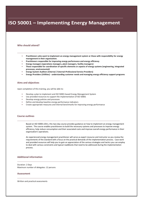# ISO 50001 - Implementing Energy Management

## **Who should attend?**

- **Practitioners who want to implement an energy management system or those with responsibility for energy management in their organization.**
- **Practitioners responsible for improving energy performance and energy efficiency**
- **Energy managers (operations managers, plant managers, facility managers)**
- **Those responsible for coordination of specific elements or aspects of energy systems (engineering, integrated processes, environmental)**
- **Energy System Auditors (Internal / External-Professional Service Providers)**
- **Energy Providers (Utilities) - understanding customer needs and managing energy efficiency support programs**

# **Aims and objectives**

Upon completion of this training, you will be able to:

- Develop a plan to implement and ISO 50001 based Energy Management System
- Use provided resources to support the implementation of ISO 50001
- Develop energy policies and processes
- Define and develop baseline energy performance indicators
- Create appropriate measures and internal benchmarks for improving energy performance

#### **Course outlines**

Based on ISO 50001:2011, this two-day course provides guidance on how to implement an energy management system. The course enables practitioners to build the necessary systems and processes to improve energy efficiency, help reduce consumption and their associated costs and improve overall energy performance in their organization's operations.

An experienced energy management practitioner will serve as expert resource and instructor as you review the requirements of the standard with a focus on the practical demands of the implementation process. Case work and provided resources will help you to gain an appreciation of the various strategies and tactics you can employ to deal with various constraints and typical roadblocks that need to be addressed during the implementation process.

# **Additional information**

Duration: 2 Days Maximum number of delegates: 12 persons

#### **Assessment**

Written and practical assessments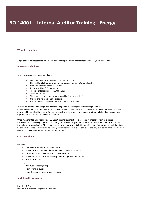# ISO 14001 - Internal Auditor Training - Energy

# **Who should attend?**

**All personnel with responsibility for internal auditing of Environmental Management System ISO 14001**

#### **Aims and objectives**

To give participants an understanding of

- What are the new requirements with ISO 14001:2015
- How to Identify Internal & External issues and relevant interested parties
- How to Define the scope of the EMS
- Identifying Risks & Opportunities
- The role of leadership in ISO14001:2015
- The audit process
- The competency to conduct an internal Environmental Audit
- the skills to write up an audit report
- the competency to present audit findings to the auditee

This course provides knowledge and understanding to help your organisations manage their risk.

It reviews how and why your organisation should develop, implement and continuously improve a framework with the purpose of integrating the process for managing risk into the overall governance, strategy and planning, management, reporting processes, policies values and culture.

Once implemented and maintained, ISO 31000 the management of risk enables your organisation to increase the likelihood of achieving objectives, encourage proactive management, be aware of the need to identify and treat risk throughout the organisation. The course teaches how improvements in the identification of opportunities and threats can be achieved as a result of having a risk management framework in place as well as ensuring that compliance with relevant legal and regulatory requirements and norms are met.

## **Course outlines**

#### Day One

- Overview & Benefit of ISO 14001:2015
- Elements of Environmental Management System ISO 14001:2015
- Workshops on the new elements of ISO 14001:2015
- Environmental Aspects and development of objectives and targets
- The Audit Process

Day Two

- The Audit Process (cont.)
- Performing an audit
- Reporting and presenting audit findings

# **Additional information**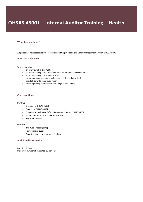# OHSAS 45001 - Internal Auditor Training - Health

### **Who should attend?**

**All personnel with responsibility for internal auditing of Health and Safety Management System OHSAS 45001**

#### **Aims and objectives**

To give participants

- an overview of OHSAS 45001
- an understanding of the documentation requirements of OHSAS 45001
- an understanding of the audit process
- the competency to conduct an internal Health and Safety Audit
- the skills to write up an audit report
- the competency to present audit findings to the auditee.

## **Course outlines**

#### Day One

- Overview of OHSAS 45001
- Benefits of OHSAS 45001
- Elements of Health and Safety Management System OHSAS 45001
- Hazard Identification and Risk Assessment
- The Audit Process

#### Day Two

- The Audit Process (cont.)
- Performing an audit
- Reporting and presenting audit findings

# **Additional information**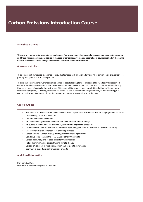# **Carbon Emissions Introduction Course**

# **Who should attend?**

**This course is aimed at two main target audiences. Firstly, company directors and managers, management accountants and those with general responsibilities in the area of corporate governance. Secondly our course is aimed at those who have an interest in climate change and methods of carbon emissions reduction.**

#### **Aims and objectives**

This popular half day course is designed to provide attendees with a basic understanding of carbon emissions, carbon foot printing and general climate change issues.

This is a carbon emissions awareness course aimed at people looking for a foundation of knowledge in this sector. The course is flexible and in addition to the topics below attendees will be able to ask questions on specific issues affecting them or on areas of particular interest to you. Attendees will be given an overview of UK and other legislation (both current and proposed). Typically, attendees ask about LSE and FTSE requirements; mandatory carbon reporting; CRC; carbon trading; etc. Additional information sources and further courses will also be discussed.

#### **Course outlines**

- The course will be flexible and driven to some extent by the course attendees. The course programme will cover the following topics at a minimum:
- Definition of carbon emissions
- An understanding of carbon emissions and their effect on climate change
- An outline of the UK and international legislation covering carbon emissions
- Introduction to the GHG protocol for corporate accounting and the GHG protocol for project accounting
- General introduction to carbon foot printing processes
- Carbon trading Carbon pricing trading mechanisms and platforms
- Legislative compliance in the FTSE, LSE and other UK contexts
- Carbon accounting and related issues for UK companies
- Related environmental issues affecting climate change
- Carbon emissions, business management and corporate governance
- Commercial opportunities from carbon projects

# **Additional information**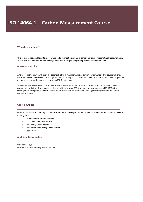# ISO 14064-1 - Carbon Measurement Course

# **Who should attend?**

**This course is designed for attendees who need a foundation course in carbon emissions footprinting (measurement). This course will enhance your knowledge and CV in this rapidly expanding area of carbon emissions.**

## **Aims and objectives**

Attendees at this course will learn the essentials of GHG management and carbon performance. This course will provide the attendee with an excellent knowledge and understanding of ISO 14064-1 to facilitate quantification and management of your carbon footprint and greenhouse gas (GHG) emissions.

This course was developed by CSA Standards and is delivered by Carbon Action. Carbon Action is a leading provider of carbon training in the UK and has the exclusive rights to provide CSA developed training courses to ISO 14064, the ONLY globally recognised standard. Carbon Action are also an education and training provider partner of the Carbon Disclosure Project.

#### **Course outlines**

Learn how to measure your organisations carbon footprint using ISO 14064 - 1. The course breaks the subject down into five key areas.

- 1. Introduction to GHG inventories
- 2. ISO 14064-1 and GHG protocol
- 3. GHG management handbook
- 4. GHG information management system
- 5. Case Study

# **Additional information**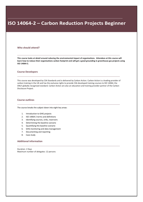# ISO 14064-2 - Carbon Reduction Projects Beginner

#### **Who should attend?**

**This course looks at detail around reducing the environmental impact of organisations. Attendees at this course will learn how to reduce their organisations carbon footprint and will get a good grounding in greenhouse gas projects using ISO 14064-2.**

## **Course Developers**

This course was developed by CSA Standards and is delivered by Carbon Action. Carbon Action is a leading provider of carbon training in the UK and has the exclusive rights to provide CSA developed training courses to ISO 14064, the ONLY globally recognised standard. Carbon Action are also an education and training provider partner of the Carbon Disclosure Project.

## **Course outlines**

The course breaks the subject down into eight key areas:

- 1. Introduction to GHG projects
- 2. ISO 14064-2 terms and definitions
- 3. Identifying sources, sinks, reservoirs
- 4. Determining the baseline scenario
- 5. Quantifying the baseline scenario
- 6. GHG monitoring and data management
- 7. Documenting and reporting
- 8. Case study

## **Additional information**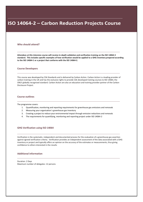# ISO 14064-2 - Carbon Reduction Projects Course

### **Who should attend?**

**Attendees at this intensive course will receive in-depth validation and verification training on the ISO 14064-3 standard. This includes specific examples of how verification would be applied to a GHG inventory prepared according to the ISO 14064-1 or a project that conforms with the ISO 14064-2.**

#### **Course Developers**

This course was developed by CSA Standards and is delivered by Carbon Action. Carbon Action is a leading provider of carbon training in the UK and has the exclusive rights to provide CSA developed training courses to ISO 14064, the ONLY globally recognised standard. Carbon Action are also an education and training provider partner of the Carbon Disclosure Project.

# **Course outlines**

The programme covers:

- 1. Quantification, monitoring and reporting requirements for greenhouse gas emissions and removals
- 2. Measuring your organisation`s greenhouse gas inventory
- 3. Creating a project to reduce your environmental impact through emission reductions and removals
- 4. The requirements for quantifying, monitoring and reporting project under ISO 14064-2

# **GHG Verification using ISO 14064**

Verification is the systematic, independent and documented process for the evaluation of a greenhouse gas assertion against agreed verification criteria. Verification provides an independent assessment of the data associated with a GHG inventory or project and typically offers an opinion on the accuracy of the estimates or measurements, thus giving confidence to others interested in the results

# **Additional information**